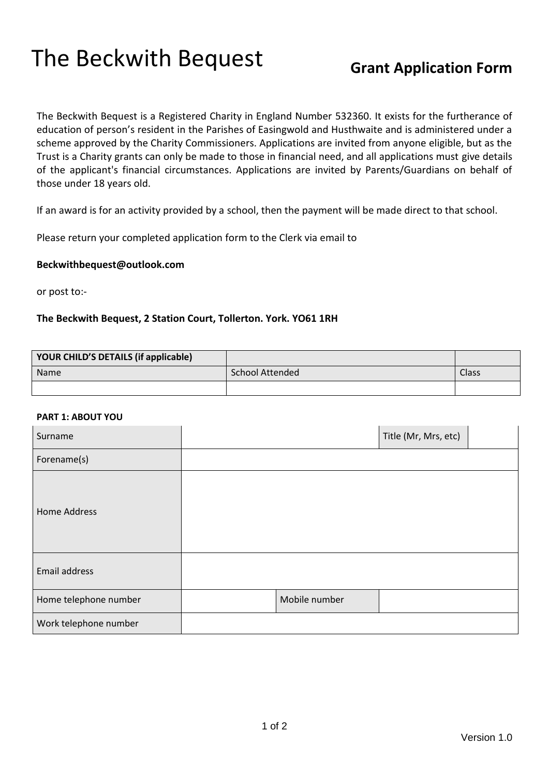# The Beckwith Bequest **Grant Application Form**

The Beckwith Bequest is a Registered Charity in England Number 532360. It exists for the furtherance of education of person's resident in the Parishes of Easingwold and Husthwaite and is administered under a scheme approved by the Charity Commissioners. Applications are invited from anyone eligible, but as the Trust is a Charity grants can only be made to those in financial need, and all applications must give details of the applicant's financial circumstances. Applications are invited by Parents/Guardians on behalf of those under 18 years old.

If an award is for an activity provided by a school, then the payment will be made direct to that school.

Please return your completed application form to the Clerk via email to

## **Beckwithbequest@outlook.com**

or post to:-

# **The Beckwith Bequest, 2 Station Court, Tollerton. York. YO61 1RH**

| YOUR CHILD'S DETAILS (if applicable) |                 |              |
|--------------------------------------|-----------------|--------------|
| <b>Name</b>                          | School Attended | <b>Class</b> |
|                                      |                 |              |

### **PART 1: ABOUT YOU**

| Surname               |               | Title (Mr, Mrs, etc) |  |
|-----------------------|---------------|----------------------|--|
| Forename(s)           |               |                      |  |
| <b>Home Address</b>   |               |                      |  |
| Email address         |               |                      |  |
| Home telephone number | Mobile number |                      |  |
| Work telephone number |               |                      |  |